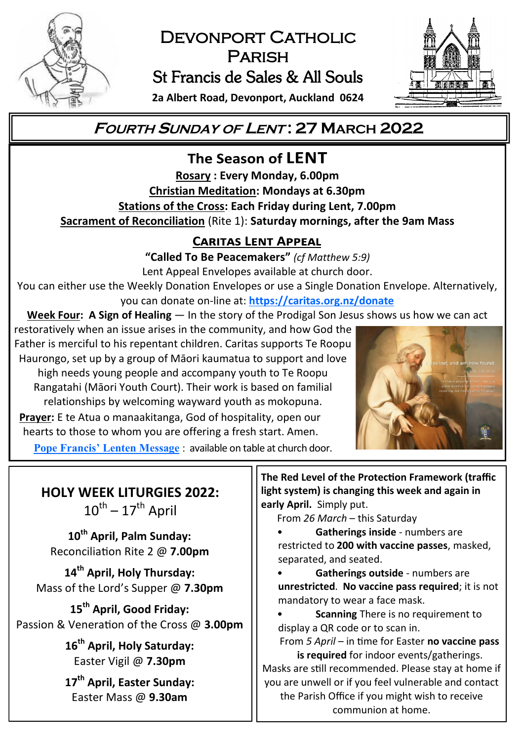

# DEVONPORT CATHOLIC **PARISH** St Francis de Sales & All Souls



**2a Albert Road, Devonport, Auckland 0624**

# **<sup>F</sup>OURTH <sup>S</sup>UNDAY OF <sup>L</sup>ENT : 27 MARCH 2022**

The Season of LENT **Rosary : Every Monday, 6.00pm Christian Meditation: Mondays at 6.30pm Stations of the Cross: Each Friday during Lent, 7.00pm Sacrament of Reconciliation** (Rite 1): **Saturday mornings, after the 9am Mass**

## **CARITAS LENT APPEAL**

**"Called To Be Peacemakers"** *(cf Matthew 5:9)* Lent Appeal Envelopes available at church door.

You can either use the Weekly Donation Envelopes or use a Single Donation Envelope. Alternatively, you can donate on-line at: **<https://caritas.org.nz/donate>**

**Week Four: A Sign of Healing** — In the story of the Prodigal Son Jesus shows us how we can act

restoratively when an issue arises in the community, and how God the Father is merciful to his repentant children. Caritas supports Te Roopu Haurongo, set up by a group of Māori kaumatua to support and love high needs young people and accompany youth to Te Roopu Rangatahi (Māori Youth Court). Their work is based on familial relationships by welcoming wayward youth as mokopuna. **Prayer:** E te Atua o manaakitanga, God of hospitality, open our hearts to those to whom you are offering a fresh start. Amen. **Pope Francis' [Lenten Message](https://www.vatican.va/content/francesco/en/events/event.dir.html/content/vaticanevents/en/2022/2/24/messaggio-quaresima.html)** : available on table at church door.



**HOLY WEEK LITURGIES 2022:**   $10^{\sf th}$  –  $17^{\sf th}$  April

**10th April, Palm Sunday:** Reconciliation Rite 2 @ **7.00pm**

**14th April, Holy Thursday:** Mass of the Lord's Supper @ **7.30pm**

**15th April, Good Friday:** Passion & Veneration of the Cross @ **3.00pm**

> **16th April, Holy Saturday:** Easter Vigil @ **7.30pm**

> **17th April, Easter Sunday:** Easter Mass @ **9.30am**

**The Red Level of the Protection Framework (traffic light system) is changing this week and again in early April.** Simply put.

From *26 March* – this Saturday

• **Gatherings inside** - numbers are restricted to **200 with vaccine passes**, masked, separated, and seated.

• **Gatherings outside** - numbers are **unrestricted**. **No vaccine pass required**; it is not mandatory to wear a face mask.

**Scanning** There is no requirement to display a QR code or to scan in.

From *5 April* – in time for Easter **no vaccine pass is required** for indoor events/gatherings.

Masks are still recommended. Please stay at home if you are unwell or if you feel vulnerable and contact the Parish Office if you might wish to receive communion at home.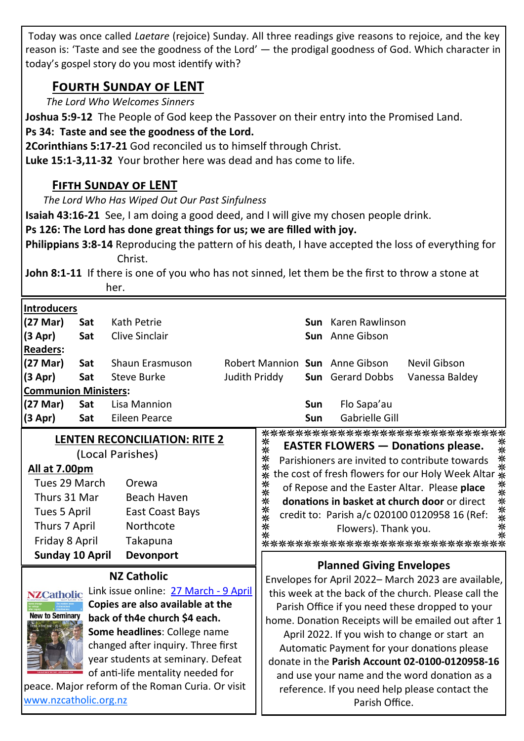Today was once called *Laetare* (rejoice) Sunday. All three readings give reasons to rejoice, and the key reason is: 'Taste and see the goodness of the Lord' — the prodigal goodness of God. Which character in today's gospel story do you most identify with?

## **Fourth Sunday of LENT**

*The Lord Who Welcomes Sinners*

**Joshua 5:9-12** The People of God keep the Passover on their entry into the Promised Land.

**Ps 34: Taste and see the goodness of the Lord.**

**2Corinthians 5:17-21** God reconciled us to himself through Christ.

**Luke 15:1-3,11-32** Your brother here was dead and has come to life.

### **Fifth Sunday of LENT**

*The Lord Who Has Wiped Out Our Past Sinfulness*

**Isaiah 43:16-21** See, I am doing a good deed, and I will give my chosen people drink.

**Ps 126: The Lord has done great things for us; we are filled with joy.**

**Philippians 3:8-14** Reproducing the pattern of his death, I have accepted the loss of everything for Christ.

**John 8:1-11** If there is one of you who has not sinned, let them be the first to throw a stone at her.

| <b>Introducers</b><br>(27 Mar)<br>(3 Apr)<br><b>Readers:</b><br>(27 Mar)<br>(3 Apr)<br><b>Communion Ministers:</b><br>(27 Mar)<br>(3 Apr)                                                                                                                                                                                                                                                                    | Sat<br>Sat<br>Sat<br>Sat<br>Sat<br>Sat | Kath Petrie<br>Clive Sinclair<br>Shaun Erasmuson<br>Steve Burke<br>Lisa Mannion<br><b>Eileen Pearce</b>                                                                                                                                                                                                                                                                                                                                                                                                                         | Judith Priddy |                   | <b>Sun</b><br><b>Sun</b> | Sun Karen Rawlinson<br>Sun Anne Gibson<br>Robert Mannion Sun Anne Gibson<br><b>Sun</b> Gerard Dobbs<br>Flo Sapa'au<br>Gabrielle Gill | Nevil Gibson<br>Vanessa Baldey                                                                                                                                                                                                                                                                                                                                                             |
|--------------------------------------------------------------------------------------------------------------------------------------------------------------------------------------------------------------------------------------------------------------------------------------------------------------------------------------------------------------------------------------------------------------|----------------------------------------|---------------------------------------------------------------------------------------------------------------------------------------------------------------------------------------------------------------------------------------------------------------------------------------------------------------------------------------------------------------------------------------------------------------------------------------------------------------------------------------------------------------------------------|---------------|-------------------|--------------------------|--------------------------------------------------------------------------------------------------------------------------------------|--------------------------------------------------------------------------------------------------------------------------------------------------------------------------------------------------------------------------------------------------------------------------------------------------------------------------------------------------------------------------------------------|
| All at 7.00pm<br>Tues 29 March<br>Thurs 31 Mar<br>Tues 5 April<br>Thurs 7 April<br>Friday 8 April<br>Sunday 10 April                                                                                                                                                                                                                                                                                         |                                        | <b>LENTEN RECONCILIATION: RITE 2</b><br>(Local Parishes)<br>Orewa<br>Beach Haven<br>East Coast Bays<br>Northcote<br>Takapuna<br><b>Devonport</b>                                                                                                                                                                                                                                                                                                                                                                                |               | ******<br>******* |                          | Flowers). Thank you.                                                                                                                 | ******************************<br><b>EASTER FLOWERS — Donations please.</b> **<br>Parishioners are invited to contribute towards **<br>the cost of fresh flowers for our Holy Week Altar **<br>********<br>of Repose and the Easter Altar. Please place<br>donations in basket at church door or direct<br>credit to: Parish a/c 020100 0120958 16 (Ref:<br>****************************** |
| <b>NZ Catholic</b><br>Link issue online: 27 March - 9 April<br><b>NZCatholic</b><br>Copies are also available at the<br><b>New to Seminary</b><br>back of th4e church \$4 each.<br>Some headlines: College name<br>changed after inquiry. Three first<br>year students at seminary. Defeat<br>of anti-life mentality needed for<br>peace. Major reform of the Roman Curia. Or visit<br>www.nzcatholic.org.nz |                                        | <b>Planned Giving Envelopes</b><br>Envelopes for April 2022– March 2023 are available,<br>this week at the back of the church. Please call the<br>Parish Office if you need these dropped to your<br>home. Donation Receipts will be emailed out after 1<br>April 2022. If you wish to change or start an<br>Automatic Payment for your donations please<br>donate in the Parish Account 02-0100-0120958-16<br>and use your name and the word donation as a<br>reference. If you need help please contact the<br>Parish Office. |               |                   |                          |                                                                                                                                      |                                                                                                                                                                                                                                                                                                                                                                                            |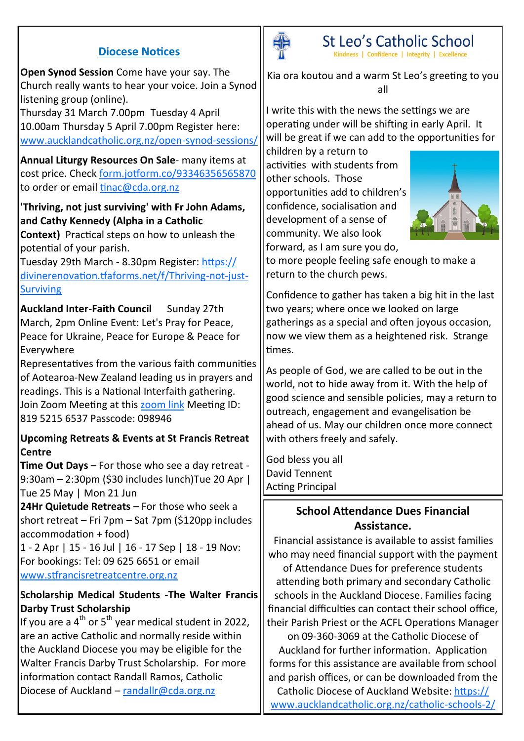#### **Diocese Notices**

**Open Synod Session** Come have your say. The Church really wants to hear your voice. Join a Synod listening group (online).

Thursday 31 March 7.00pm Tuesday 4 April 10.00am Thursday 5 April 7.00pm Register here: [www.aucklandcatholic.org.nz/open](https://www.aucklandcatholic.org.nz/open-synod-sessions/)-synod-sessions/

**Annual Liturgy Resources On Sale**- many items at cost price. Check [form.jotform.co/93346356565870](https://form.jotform.co/93346356565870) to order or email [tinac@cda.org.nz](mailto:tinac@cda.org.nz)

#### **'Thriving, not just surviving' with Fr John Adams, and Cathy Kennedy (Alpha in a Catholic**

**Context)** Practical steps on how to unleash the potential of your parish.

Tuesday 29th March - 8.30pm Register: [https://](https://divinerenovation.tfaforms.net/f/Thriving-not-just-Surviving) [divinerenovation.tfaforms.net/f/Thriving](https://divinerenovation.tfaforms.net/f/Thriving-not-just-Surviving)-not-just-**[Surviving](https://divinerenovation.tfaforms.net/f/Thriving-not-just-Surviving)** 

**Auckland Inter-Faith Council** Sunday 27th March, 2pm Online Event: Let's Pray for Peace, Peace for Ukraine, Peace for Europe & Peace for Everywhere

Representatives from the various faith communities of Aotearoa-New Zealand leading us in prayers and readings. This is a National Interfaith gathering. Join Zoom Meeting at this [zoom link](https://us02web.zoom.us/j/81952156537?pwd=NFFPZTAwdWEwRlRSOTlCRDkwbFlFQT09) Meeting ID: 819 5215 6537 Passcode: 098946

#### **Upcoming Retreats & Events at St Francis Retreat Centre**

**Time Out Days** – For those who see a day retreat - 9:30am – 2:30pm (\$30 includes lunch)Tue 20 Apr | Tue 25 May | Mon 21 Jun

**24Hr Quietude Retreats** – For those who seek a short retreat – Fri 7pm – Sat 7pm (\$120pp includes accommodation + food)

1 - 2 Apr | 15 - 16 Jul | 16 - 17 Sep | 18 - 19 Nov: For bookings: Tel: 09 625 6651 or email [www.stfrancisretreatcentre.org.nz](http://www.stfrancisretreatcentre.org.nz)

#### **Scholarship Medical Students -The Walter Francis Darby Trust Scholarship**

If you are a  $4^{th}$  or  $5^{th}$  year medical student in 2022. are an active Catholic and normally reside within the Auckland Diocese you may be eligible for the Walter Francis Darby Trust Scholarship. For more information contact Randall Ramos, Catholic Diocese of Auckland – [randallr@cda.org.nz](mailto:randallr@cda.org.nz)



St Leo's Catholic School Kindness | Confidence | Integrity | Excellence

Kia ora koutou and a warm St Leo's greeting to you all

I write this with the news the settings we are operating under will be shifting in early April. It will be great if we can add to the opportunities for

children by a return to activities with students from other schools. Those opportunities add to children's confidence, socialisation and development of a sense of community. We also look forward, as I am sure you do,



to more people feeling safe enough to make a return to the church pews.

Confidence to gather has taken a big hit in the last two years; where once we looked on large gatherings as a special and often joyous occasion, now we view them as a heightened risk. Strange times.

As people of God, we are called to be out in the world, not to hide away from it. With the help of good science and sensible policies, may a return to outreach, engagement and evangelisation be ahead of us. May our children once more connect with others freely and safely.

God bless you all David Tennent Acting Principal

#### **School Attendance Dues Financial Assistance.**

Financial assistance is available to assist families who may need financial support with the payment of Attendance Dues for preference students attending both primary and secondary Catholic schools in the Auckland Diocese. Families facing financial difficulties can contact their school office, their Parish Priest or the ACFL Operations Manager on 09-360-3069 at the Catholic Diocese of Auckland for further information. Application forms for this assistance are available from school and parish offices, or can be downloaded from the Catholic Diocese of Auckland Website: [https://](https://www.aucklandcatholic.org.nz/catholic-schools-2/) [www.aucklandcatholic.org.nz/catholic](https://www.aucklandcatholic.org.nz/catholic-schools-2/)-schools-2/